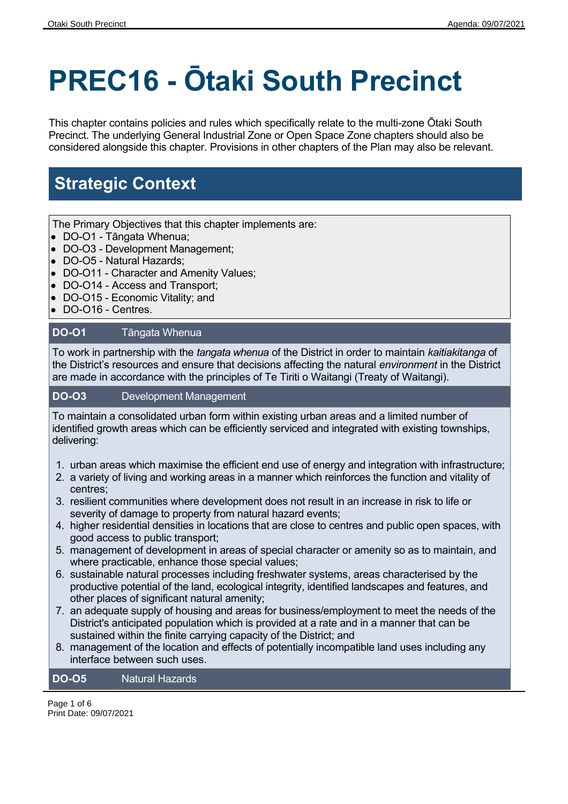# **PREC16 - Ōtaki South Precinct**

This chapter contains policies and rules which specifically relate to the multi-zone Ōtaki South Precinct. The underlying General Industrial Zone or Open Space Zone chapters should also be considered alongside this chapter. Provisions in other chapters of the Plan may also be relevant.

## **Strategic Context**

The Primary Objectives that this chapter implements are:

- DO-O1 Tāngata Whenua;
- DO-O3 Development Management;
- DO-O5 Natural Hazards;
- DO-O11 Character and Amenity Values;
- DO-O14 Access and Transport;
- DO-O15 Economic Vitality; and
- DO-O16 Centres.

#### **DO-O1** Tāngata Whenua

To work in partnership with the *tangata whenua* of the District in order to maintain *kaitiakitanga* of the District's resources and ensure that decisions affecting the natural *environment* in the District are made in accordance with the principles of Te Tiriti o Waitangi (Treaty of Waitangi).

#### **DO-O3** Development Management

To maintain a consolidated urban form within existing urban areas and a limited number of identified growth areas which can be efficiently serviced and integrated with existing townships, delivering:

- 1. urban areas which maximise the efficient end use of energy and integration with infrastructure;
- 2. a variety of living and working areas in a manner which reinforces the function and vitality of centres;
- 3. resilient communities where development does not result in an increase in risk to life or severity of damage to property from natural hazard events;
- 4. higher residential densities in locations that are close to centres and public open spaces, with good access to public transport;
- 5. management of development in areas of special character or amenity so as to maintain, and where practicable, enhance those special values;
- 6. sustainable natural processes including freshwater systems, areas characterised by the productive potential of the land, ecological integrity, identified landscapes and features, and other places of significant natural amenity;
- 7. an adequate supply of housing and areas for business/employment to meet the needs of the District's anticipated population which is provided at a rate and in a manner that can be sustained within the finite carrying capacity of the District; and
- 8. management of the location and effects of potentially incompatible land uses including any interface between such uses.

#### **DO-O5** Natural Hazards

Page 1 of 6 Print Date: 09/07/2021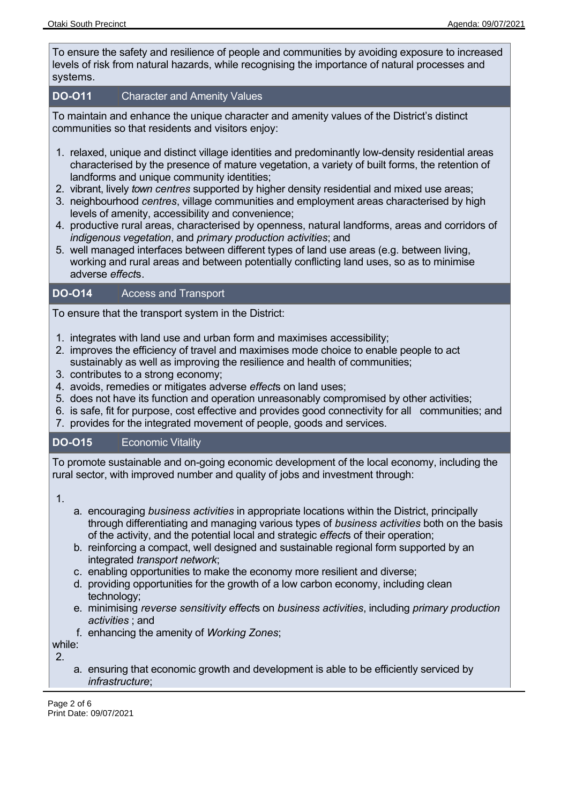To ensure the safety and resilience of people and communities by avoiding exposure to increased levels of risk from natural hazards, while recognising the importance of natural processes and systems.

#### **DO-O11** Character and Amenity Values

To maintain and enhance the unique character and amenity values of the District's distinct communities so that residents and visitors enjoy:

- 1. relaxed, unique and distinct village identities and predominantly low-density residential areas characterised by the presence of mature vegetation, a variety of built forms, the retention of landforms and unique community identities;
- 2. vibrant, lively *town centres* supported by higher density residential and mixed use areas;
- 3. neighbourhood *centres*, village communities and employment areas characterised by high levels of amenity, accessibility and convenience;
- 4. productive rural areas, characterised by openness, natural landforms, areas and corridors of *indigenous vegetation*, and *primary production activities*; and
- 5. well managed interfaces between different types of land use areas (e.g. between living, working and rural areas and between potentially conflicting land uses, so as to minimise adverse *effect*s.

### **DO-O14** Access and Transport

To ensure that the transport system in the District:

- 1. integrates with land use and urban form and maximises accessibility;
- 2. improves the efficiency of travel and maximises mode choice to enable people to act sustainably as well as improving the resilience and health of communities;
- 3. contributes to a strong economy;
- 4. avoids, remedies or mitigates adverse *effect*s on land uses;
- 5. does not have its function and operation unreasonably compromised by other activities;
- 6. is safe, fit for purpose, cost effective and provides good connectivity for all communities; and
- 7. provides for the integrated movement of people, goods and services.

### **DO-O15** Economic Vitality

To promote sustainable and on-going economic development of the local economy, including the rural sector, with improved number and quality of jobs and investment through:

1.

- a. encouraging *business activities* in appropriate locations within the District, principally through differentiating and managing various types of *business activities* both on the basis of the activity, and the potential local and strategic *effect*s of their operation;
- b. reinforcing a compact, well designed and sustainable regional form supported by an integrated *transport network*;
- c. enabling opportunities to make the economy more resilient and diverse;
- d. providing opportunities for the growth of a low carbon economy, including clean technology;
- e. minimising *reverse sensitivity effect*s on *business activities*, including *primary production activities* ; and
- f. enhancing the amenity of *Working Zones*;

while: 2.

a. ensuring that economic growth and development is able to be efficiently serviced by *infrastructure*;

Page 2 of 6 Print Date: 09/07/2021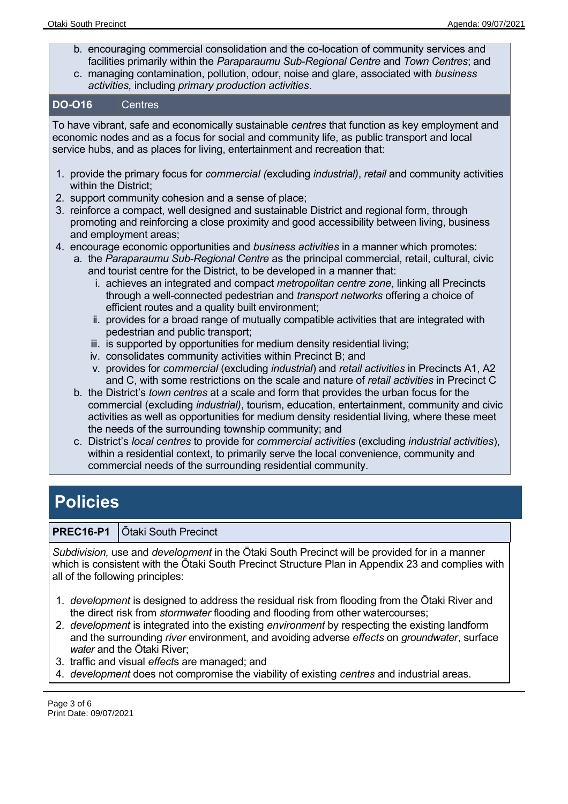- b. encouraging commercial consolidation and the co-location of community services and facilities primarily within the *Paraparaumu Sub-Regional Centre* and *Town Centres*; and
- c. managing contamination, pollution, odour, noise and glare, associated with *business activities,* including *primary production activities*.

#### **DO-O16** Centres

To have vibrant, safe and economically sustainable *centres* that function as key employment and economic nodes and as a focus for social and community life, as public transport and local service hubs, and as places for living, entertainment and recreation that:

- 1. provide the primary focus for *commercial (*excluding *industrial)*, *retail* and community activities within the District;
- 2. support community cohesion and a sense of place;
- 3. reinforce a compact, well designed and sustainable District and regional form, through promoting and reinforcing a close proximity and good accessibility between living, business and employment areas;
- 4. encourage economic opportunities and *business activities* in a manner which promotes:
	- a. the *Paraparaumu Sub-Regional Centre* as the principal commercial, retail, cultural, civic and tourist centre for the District, to be developed in a manner that:
		- i. achieves an integrated and compact *metropolitan centre zone*, linking all Precincts through a well-connected pedestrian and *transport networks* offering a choice of efficient routes and a quality built environment;
		- ii. provides for a broad range of mutually compatible activities that are integrated with pedestrian and public transport;
		- iii. is supported by opportunities for medium density residential living;
		- iv. consolidates community activities within Precinct B; and
		- v. provides for *commercial* (excluding *industrial*) and *retail activities* in Precincts A1, A2 and C, with some restrictions on the scale and nature of *retail activities* in Precinct C
	- b. the District's *town centres* at a scale and form that provides the urban focus for the commercial (excluding *industrial)*, tourism, education, entertainment, community and civic activities as well as opportunities for medium density residential living, where these meet the needs of the surrounding township community; and
	- c. District's *local centres* to provide for *commercial activities* (excluding *industrial activities*), within a residential context, to primarily serve the local convenience, community and commercial needs of the surrounding residential community.

## **Policies**

### **PREC16-P1** | Ōtaki South Precinct

*Subdivision,* use and *development* in the Ōtaki South Precinct will be provided for in a manner which is consistent with the Ōtaki South Precinct Structure Plan in Appendix 23 and complies with all of the following principles:

- 1. *development* is designed to address the residual risk from flooding from the Ōtaki River and the direct risk from *stormwater* flooding and flooding from other watercourses;
- 2. *development* is integrated into the existing *environment* by respecting the existing landform and the surrounding *river* environment, and avoiding adverse *effects* on *groundwater*, surface *water* and the Ōtaki River;
- 3. traffic and visual *effect*s are managed; and
- 4. *development* does not compromise the viability of existing *centres* and industrial areas.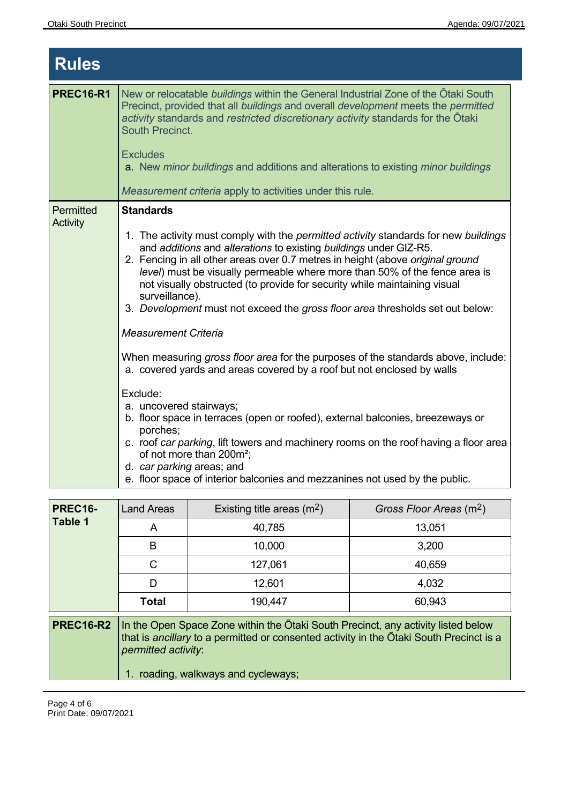| <b>Rules</b>          |                                                                                                                                                                                                                                                                                                                                                                                                                                                                                                                                                |  |
|-----------------------|------------------------------------------------------------------------------------------------------------------------------------------------------------------------------------------------------------------------------------------------------------------------------------------------------------------------------------------------------------------------------------------------------------------------------------------------------------------------------------------------------------------------------------------------|--|
| <b>PREC16-R1</b>      | New or relocatable buildings within the General Industrial Zone of the Otaki South<br>Precinct, provided that all buildings and overall development meets the permitted<br>activity standards and restricted discretionary activity standards for the Otaki<br>South Precinct.<br><b>Excludes</b><br>a. New minor buildings and additions and alterations to existing minor buildings<br>Measurement criteria apply to activities under this rule.                                                                                             |  |
| Permitted<br>Activity | <b>Standards</b>                                                                                                                                                                                                                                                                                                                                                                                                                                                                                                                               |  |
|                       | 1. The activity must comply with the <i>permitted activity</i> standards for new buildings<br>and additions and alterations to existing buildings under GIZ-R5.<br>2. Fencing in all other areas over 0.7 metres in height (above original ground<br>level) must be visually permeable where more than 50% of the fence area is<br>not visually obstructed (to provide for security while maintaining visual<br>surveillance).<br>3. Development must not exceed the gross floor area thresholds set out below:<br><b>Measurement Criteria</b> |  |
|                       | When measuring <i>gross floor area</i> for the purposes of the standards above, include:<br>a. covered yards and areas covered by a roof but not enclosed by walls                                                                                                                                                                                                                                                                                                                                                                             |  |
|                       | Exclude:<br>a. uncovered stairways;<br>b. floor space in terraces (open or roofed), external balconies, breezeways or<br>porches;<br>c. roof car parking, lift towers and machinery rooms on the roof having a floor area<br>of not more than 200m <sup>2</sup> ;<br>d. car parking areas; and<br>e. floor space of interior balconies and mezzanines not used by the public.                                                                                                                                                                  |  |

| <b>PREC16-</b><br>Table 1 | <b>Land Areas</b>                                                                                                                                                                                                                       | Existing title areas $(m2)$ | Gross Floor Areas (m <sup>2</sup> ) |  |
|---------------------------|-----------------------------------------------------------------------------------------------------------------------------------------------------------------------------------------------------------------------------------------|-----------------------------|-------------------------------------|--|
|                           | A                                                                                                                                                                                                                                       | 40,785                      | 13,051                              |  |
|                           | B                                                                                                                                                                                                                                       | 10,000                      | 3,200                               |  |
|                           | C                                                                                                                                                                                                                                       | 127,061                     | 40,659                              |  |
|                           | D                                                                                                                                                                                                                                       | 12,601                      | 4,032                               |  |
|                           | <b>Total</b>                                                                                                                                                                                                                            | 190,447                     | 60,943                              |  |
| <b>PREC16-R2</b>          | In the Open Space Zone within the Otaki South Precinct, any activity listed below<br>that is ancillary to a permitted or consented activity in the Otaki South Precinct is a<br>permitted activity:<br>roading, walkways and cycleways; |                             |                                     |  |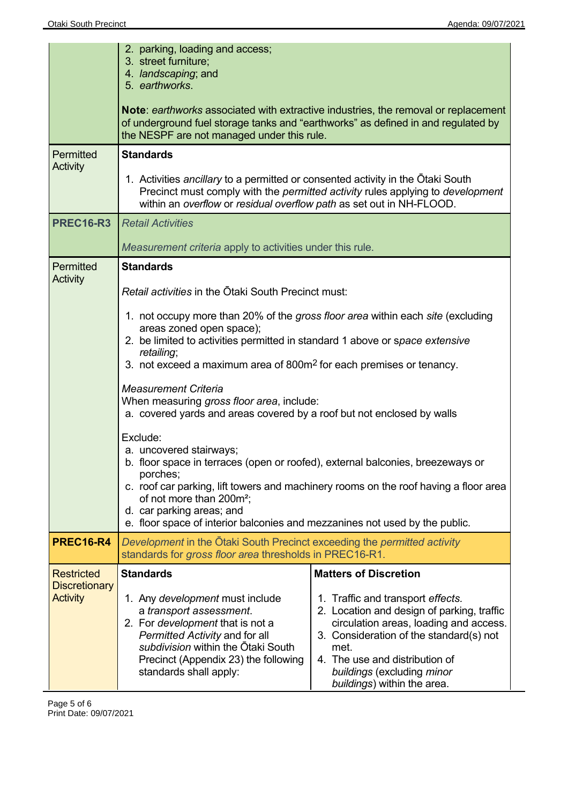|                                                                                                                                                                                                                           | 2. parking, loading and access;<br>3. street furniture;<br>4. landscaping; and<br>5. earthworks.                                                                                                                                                                                             |                                                                                                                                                                                                                                                                             |  |  |
|---------------------------------------------------------------------------------------------------------------------------------------------------------------------------------------------------------------------------|----------------------------------------------------------------------------------------------------------------------------------------------------------------------------------------------------------------------------------------------------------------------------------------------|-----------------------------------------------------------------------------------------------------------------------------------------------------------------------------------------------------------------------------------------------------------------------------|--|--|
|                                                                                                                                                                                                                           | Note: earthworks associated with extractive industries, the removal or replacement<br>of underground fuel storage tanks and "earthworks" as defined in and regulated by<br>the NESPF are not managed under this rule.                                                                        |                                                                                                                                                                                                                                                                             |  |  |
| Permitted<br>Activity                                                                                                                                                                                                     | <b>Standards</b>                                                                                                                                                                                                                                                                             |                                                                                                                                                                                                                                                                             |  |  |
|                                                                                                                                                                                                                           | 1. Activities ancillary to a permitted or consented activity in the Otaki South<br>Precinct must comply with the <i>permitted activity</i> rules applying to <i>development</i><br>within an overflow or residual overflow path as set out in NH-FLOOD.                                      |                                                                                                                                                                                                                                                                             |  |  |
| <b>PREC16-R3</b>                                                                                                                                                                                                          | <b>Retail Activities</b>                                                                                                                                                                                                                                                                     |                                                                                                                                                                                                                                                                             |  |  |
|                                                                                                                                                                                                                           | Measurement criteria apply to activities under this rule.                                                                                                                                                                                                                                    |                                                                                                                                                                                                                                                                             |  |  |
| Permitted<br><b>Activity</b>                                                                                                                                                                                              | <b>Standards</b><br>Retail activities in the Otaki South Precinct must:                                                                                                                                                                                                                      |                                                                                                                                                                                                                                                                             |  |  |
|                                                                                                                                                                                                                           |                                                                                                                                                                                                                                                                                              |                                                                                                                                                                                                                                                                             |  |  |
|                                                                                                                                                                                                                           | 1. not occupy more than 20% of the gross floor area within each site (excluding<br>areas zoned open space);<br>2. be limited to activities permitted in standard 1 above or space extensive<br>retailing;<br>3. not exceed a maximum area of 800m <sup>2</sup> for each premises or tenancy. |                                                                                                                                                                                                                                                                             |  |  |
|                                                                                                                                                                                                                           | <b>Measurement Criteria</b><br>When measuring gross floor area, include:<br>a. covered yards and areas covered by a roof but not enclosed by walls                                                                                                                                           |                                                                                                                                                                                                                                                                             |  |  |
| Exclude:<br>a. uncovered stairways;<br>b. floor space in terraces (open or roofed), external balconies, breezeways or<br>porches;<br>c. roof car parking, lift towers and machinery rooms on the roof having a floor area |                                                                                                                                                                                                                                                                                              |                                                                                                                                                                                                                                                                             |  |  |
|                                                                                                                                                                                                                           | of not more than 200m <sup>2</sup> ;<br>d. car parking areas; and<br>e. floor space of interior balconies and mezzanines not used by the public.                                                                                                                                             |                                                                                                                                                                                                                                                                             |  |  |
| <b>PREC16-R4</b>                                                                                                                                                                                                          | Development in the Otaki South Precinct exceeding the permitted activity<br>standards for gross floor area thresholds in PREC16-R1.                                                                                                                                                          |                                                                                                                                                                                                                                                                             |  |  |
| <b>Restricted</b>                                                                                                                                                                                                         | <b>Standards</b>                                                                                                                                                                                                                                                                             | <b>Matters of Discretion</b>                                                                                                                                                                                                                                                |  |  |
| <b>Discretionary</b><br><b>Activity</b>                                                                                                                                                                                   | 1. Any development must include<br>a transport assessment.<br>2. For development that is not a<br>Permitted Activity and for all<br>subdivision within the Otaki South<br>Precinct (Appendix 23) the following<br>standards shall apply:                                                     | 1. Traffic and transport effects.<br>2. Location and design of parking, traffic<br>circulation areas, loading and access.<br>3. Consideration of the standard(s) not<br>met.<br>4. The use and distribution of<br>buildings (excluding minor<br>buildings) within the area. |  |  |